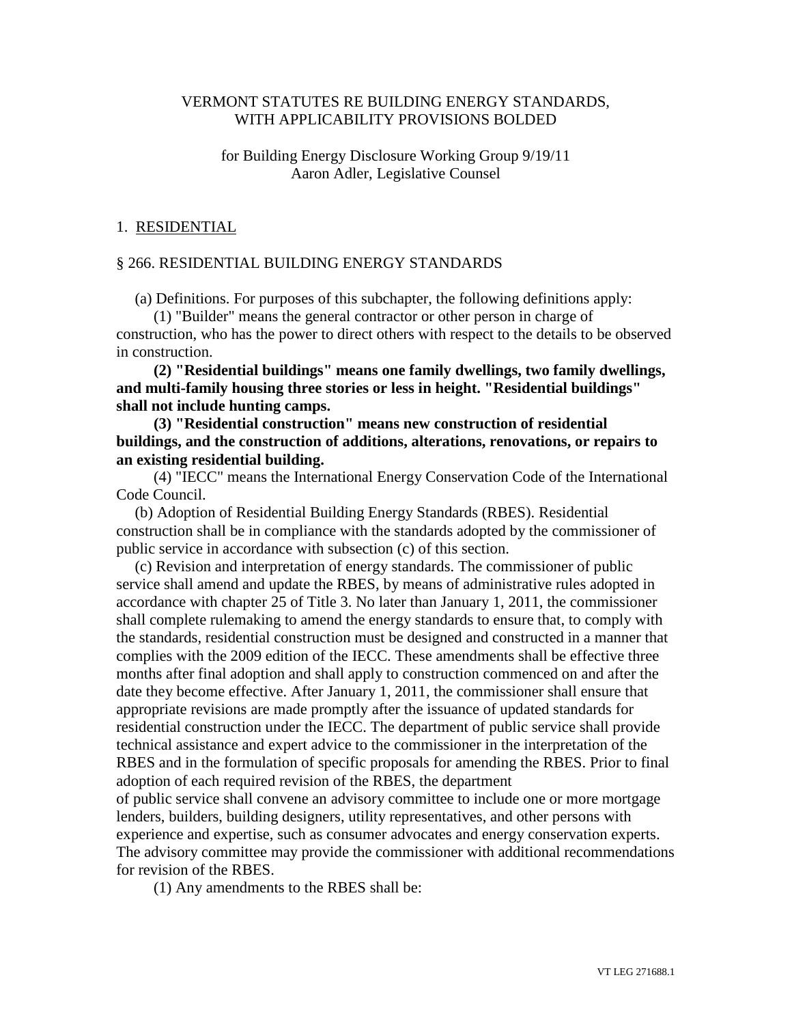# VERMONT STATUTES RE BUILDING ENERGY STANDARDS, WITH APPLICABILITY PROVISIONS BOLDED

## for Building Energy Disclosure Working Group 9/19/11 Aaron Adler, Legislative Counsel

### 1. RESIDENTIAL

#### § 266. RESIDENTIAL BUILDING ENERGY STANDARDS

(a) Definitions. For purposes of this subchapter, the following definitions apply:

(1) "Builder" means the general contractor or other person in charge of construction, who has the power to direct others with respect to the details to be observed in construction.

**(2) "Residential buildings" means one family dwellings, two family dwellings, and multi-family housing three stories or less in height. "Residential buildings" shall not include hunting camps.**

**(3) "Residential construction" means new construction of residential buildings, and the construction of additions, alterations, renovations, or repairs to an existing residential building.**

(4) "IECC" means the International Energy Conservation Code of the International Code Council.

(b) Adoption of Residential Building Energy Standards (RBES). Residential construction shall be in compliance with the standards adopted by the commissioner of public service in accordance with subsection (c) of this section.

(c) Revision and interpretation of energy standards. The commissioner of public service shall amend and update the RBES, by means of administrative rules adopted in accordance with chapter 25 of Title 3. No later than January 1, 2011, the commissioner shall complete rulemaking to amend the energy standards to ensure that, to comply with the standards, residential construction must be designed and constructed in a manner that complies with the 2009 edition of the IECC. These amendments shall be effective three months after final adoption and shall apply to construction commenced on and after the date they become effective. After January 1, 2011, the commissioner shall ensure that appropriate revisions are made promptly after the issuance of updated standards for residential construction under the IECC. The department of public service shall provide technical assistance and expert advice to the commissioner in the interpretation of the RBES and in the formulation of specific proposals for amending the RBES. Prior to final adoption of each required revision of the RBES, the department

of public service shall convene an advisory committee to include one or more mortgage lenders, builders, building designers, utility representatives, and other persons with experience and expertise, such as consumer advocates and energy conservation experts. The advisory committee may provide the commissioner with additional recommendations for revision of the RBES.

(1) Any amendments to the RBES shall be: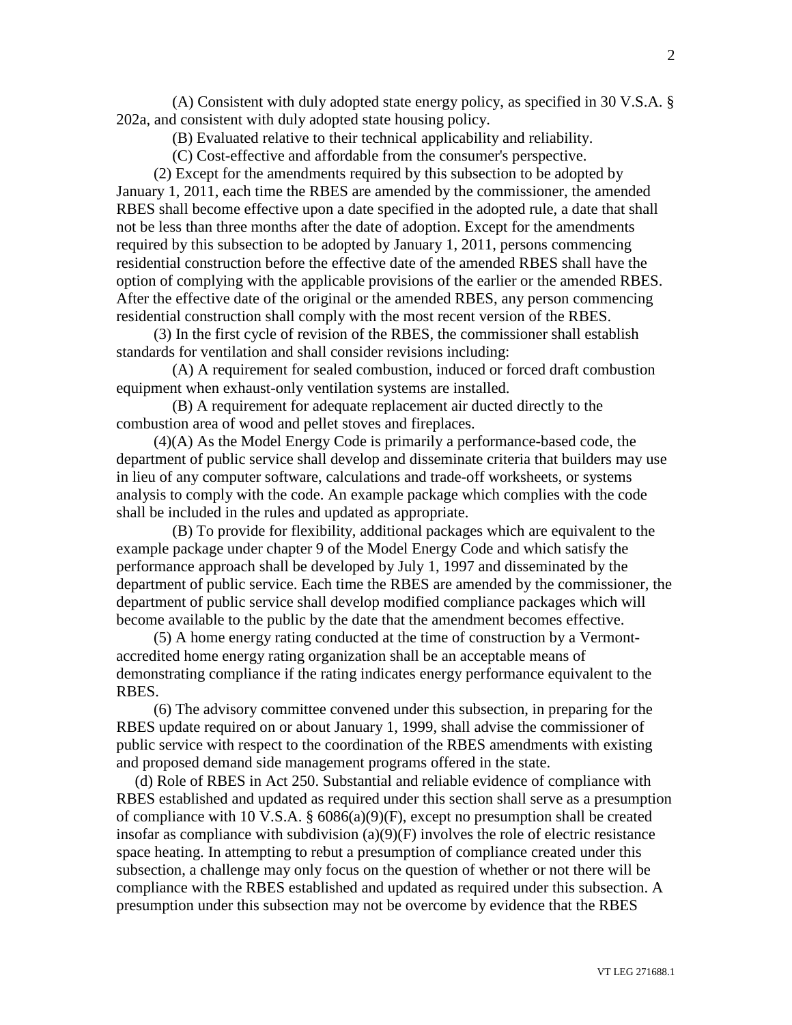(A) Consistent with duly adopted state energy policy, as specified in 30 V.S.A. § 202a, and consistent with duly adopted state housing policy.

(B) Evaluated relative to their technical applicability and reliability.

(C) Cost-effective and affordable from the consumer's perspective.

(2) Except for the amendments required by this subsection to be adopted by January 1, 2011, each time the RBES are amended by the commissioner, the amended RBES shall become effective upon a date specified in the adopted rule, a date that shall not be less than three months after the date of adoption. Except for the amendments required by this subsection to be adopted by January 1, 2011, persons commencing residential construction before the effective date of the amended RBES shall have the option of complying with the applicable provisions of the earlier or the amended RBES. After the effective date of the original or the amended RBES, any person commencing residential construction shall comply with the most recent version of the RBES.

(3) In the first cycle of revision of the RBES, the commissioner shall establish standards for ventilation and shall consider revisions including:

(A) A requirement for sealed combustion, induced or forced draft combustion equipment when exhaust-only ventilation systems are installed.

(B) A requirement for adequate replacement air ducted directly to the combustion area of wood and pellet stoves and fireplaces.

(4)(A) As the Model Energy Code is primarily a performance-based code, the department of public service shall develop and disseminate criteria that builders may use in lieu of any computer software, calculations and trade-off worksheets, or systems analysis to comply with the code. An example package which complies with the code shall be included in the rules and updated as appropriate.

(B) To provide for flexibility, additional packages which are equivalent to the example package under chapter 9 of the Model Energy Code and which satisfy the performance approach shall be developed by July 1, 1997 and disseminated by the department of public service. Each time the RBES are amended by the commissioner, the department of public service shall develop modified compliance packages which will become available to the public by the date that the amendment becomes effective.

(5) A home energy rating conducted at the time of construction by a Vermontaccredited home energy rating organization shall be an acceptable means of demonstrating compliance if the rating indicates energy performance equivalent to the RBES.

(6) The advisory committee convened under this subsection, in preparing for the RBES update required on or about January 1, 1999, shall advise the commissioner of public service with respect to the coordination of the RBES amendments with existing and proposed demand side management programs offered in the state.

(d) Role of RBES in Act 250. Substantial and reliable evidence of compliance with RBES established and updated as required under this section shall serve as a presumption of compliance with 10 V.S.A. § 6086(a)(9)(F), except no presumption shall be created insofar as compliance with subdivision (a)(9)(F) involves the role of electric resistance space heating. In attempting to rebut a presumption of compliance created under this subsection, a challenge may only focus on the question of whether or not there will be compliance with the RBES established and updated as required under this subsection. A presumption under this subsection may not be overcome by evidence that the RBES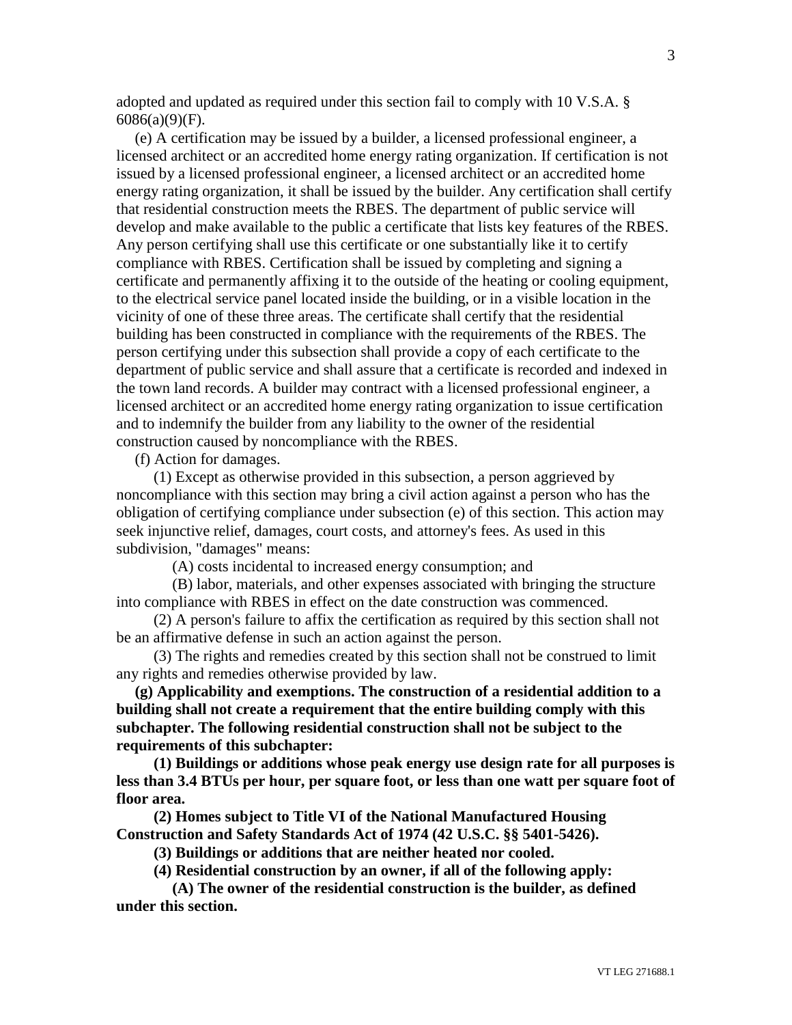adopted and updated as required under this section fail to comply with 10 V.S.A. § 6086(a)(9)(F).

(e) A certification may be issued by a builder, a licensed professional engineer, a licensed architect or an accredited home energy rating organization. If certification is not issued by a licensed professional engineer, a licensed architect or an accredited home energy rating organization, it shall be issued by the builder. Any certification shall certify that residential construction meets the RBES. The department of public service will develop and make available to the public a certificate that lists key features of the RBES. Any person certifying shall use this certificate or one substantially like it to certify compliance with RBES. Certification shall be issued by completing and signing a certificate and permanently affixing it to the outside of the heating or cooling equipment, to the electrical service panel located inside the building, or in a visible location in the vicinity of one of these three areas. The certificate shall certify that the residential building has been constructed in compliance with the requirements of the RBES. The person certifying under this subsection shall provide a copy of each certificate to the department of public service and shall assure that a certificate is recorded and indexed in the town land records. A builder may contract with a licensed professional engineer, a licensed architect or an accredited home energy rating organization to issue certification and to indemnify the builder from any liability to the owner of the residential construction caused by noncompliance with the RBES.

(f) Action for damages.

(1) Except as otherwise provided in this subsection, a person aggrieved by noncompliance with this section may bring a civil action against a person who has the obligation of certifying compliance under subsection (e) of this section. This action may seek injunctive relief, damages, court costs, and attorney's fees. As used in this subdivision, "damages" means:

(A) costs incidental to increased energy consumption; and

(B) labor, materials, and other expenses associated with bringing the structure into compliance with RBES in effect on the date construction was commenced.

(2) A person's failure to affix the certification as required by this section shall not be an affirmative defense in such an action against the person.

(3) The rights and remedies created by this section shall not be construed to limit any rights and remedies otherwise provided by law.

**(g) Applicability and exemptions. The construction of a residential addition to a building shall not create a requirement that the entire building comply with this subchapter. The following residential construction shall not be subject to the requirements of this subchapter:**

**(1) Buildings or additions whose peak energy use design rate for all purposes is less than 3.4 BTUs per hour, per square foot, or less than one watt per square foot of floor area.**

**(2) Homes subject to Title VI of the National Manufactured Housing Construction and Safety Standards Act of 1974 (42 U.S.C. §§ 5401-5426).**

**(3) Buildings or additions that are neither heated nor cooled.**

**(4) Residential construction by an owner, if all of the following apply:**

**(A) The owner of the residential construction is the builder, as defined under this section.**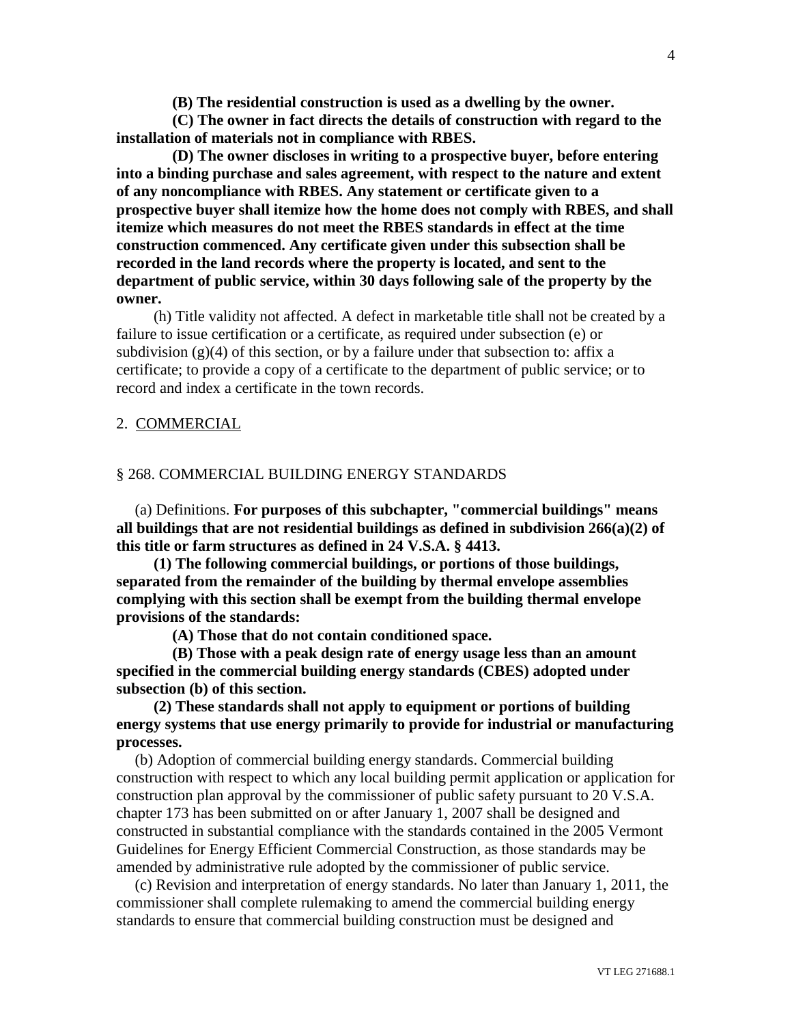**(B) The residential construction is used as a dwelling by the owner.**

**(C) The owner in fact directs the details of construction with regard to the installation of materials not in compliance with RBES.**

**(D) The owner discloses in writing to a prospective buyer, before entering into a binding purchase and sales agreement, with respect to the nature and extent of any noncompliance with RBES. Any statement or certificate given to a prospective buyer shall itemize how the home does not comply with RBES, and shall itemize which measures do not meet the RBES standards in effect at the time construction commenced. Any certificate given under this subsection shall be recorded in the land records where the property is located, and sent to the department of public service, within 30 days following sale of the property by the owner.**

(h) Title validity not affected. A defect in marketable title shall not be created by a failure to issue certification or a certificate, as required under subsection (e) or subdivision  $(g)(4)$  of this section, or by a failure under that subsection to: affix a certificate; to provide a copy of a certificate to the department of public service; or to record and index a certificate in the town records.

#### 2. COMMERCIAL

#### § 268. COMMERCIAL BUILDING ENERGY STANDARDS

(a) Definitions. **For purposes of this subchapter, "commercial buildings" means all buildings that are not residential buildings as defined in subdivision 266(a)(2) of this title or farm structures as defined in 24 V.S.A. § 4413.**

**(1) The following commercial buildings, or portions of those buildings, separated from the remainder of the building by thermal envelope assemblies complying with this section shall be exempt from the building thermal envelope provisions of the standards:**

**(A) Those that do not contain conditioned space.**

**(B) Those with a peak design rate of energy usage less than an amount specified in the commercial building energy standards (CBES) adopted under subsection (b) of this section.**

**(2) These standards shall not apply to equipment or portions of building energy systems that use energy primarily to provide for industrial or manufacturing processes.**

(b) Adoption of commercial building energy standards. Commercial building construction with respect to which any local building permit application or application for construction plan approval by the commissioner of public safety pursuant to 20 V.S.A. chapter 173 has been submitted on or after January 1, 2007 shall be designed and constructed in substantial compliance with the standards contained in the 2005 Vermont Guidelines for Energy Efficient Commercial Construction, as those standards may be amended by administrative rule adopted by the commissioner of public service.

(c) Revision and interpretation of energy standards. No later than January 1, 2011, the commissioner shall complete rulemaking to amend the commercial building energy standards to ensure that commercial building construction must be designed and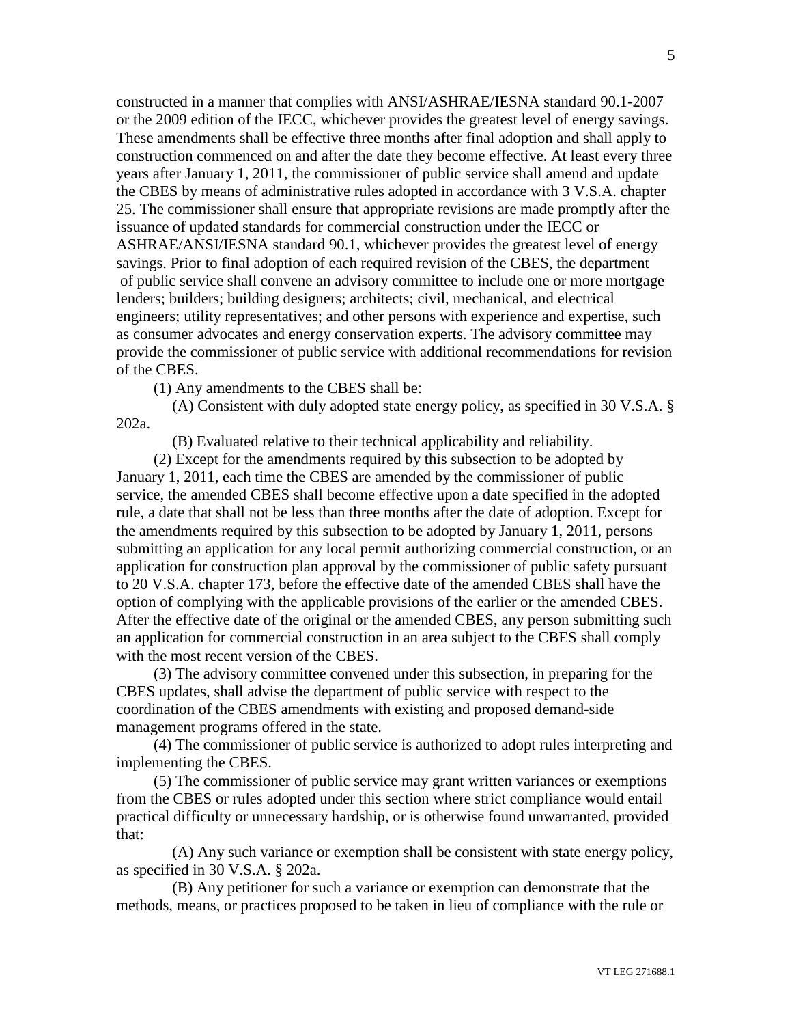constructed in a manner that complies with ANSI/ASHRAE/IESNA standard 90.1-2007 or the 2009 edition of the IECC, whichever provides the greatest level of energy savings. These amendments shall be effective three months after final adoption and shall apply to construction commenced on and after the date they become effective. At least every three years after January 1, 2011, the commissioner of public service shall amend and update the CBES by means of administrative rules adopted in accordance with 3 V.S.A. chapter 25. The commissioner shall ensure that appropriate revisions are made promptly after the issuance of updated standards for commercial construction under the IECC or ASHRAE/ANSI/IESNA standard 90.1, whichever provides the greatest level of energy savings. Prior to final adoption of each required revision of the CBES, the department of public service shall convene an advisory committee to include one or more mortgage lenders; builders; building designers; architects; civil, mechanical, and electrical engineers; utility representatives; and other persons with experience and expertise, such as consumer advocates and energy conservation experts. The advisory committee may provide the commissioner of public service with additional recommendations for revision of the CBES.

(1) Any amendments to the CBES shall be:

(A) Consistent with duly adopted state energy policy, as specified in 30 V.S.A. § 202a.

(B) Evaluated relative to their technical applicability and reliability.

(2) Except for the amendments required by this subsection to be adopted by January 1, 2011, each time the CBES are amended by the commissioner of public service, the amended CBES shall become effective upon a date specified in the adopted rule, a date that shall not be less than three months after the date of adoption. Except for the amendments required by this subsection to be adopted by January 1, 2011, persons submitting an application for any local permit authorizing commercial construction, or an application for construction plan approval by the commissioner of public safety pursuant to 20 V.S.A. chapter 173, before the effective date of the amended CBES shall have the option of complying with the applicable provisions of the earlier or the amended CBES. After the effective date of the original or the amended CBES, any person submitting such an application for commercial construction in an area subject to the CBES shall comply with the most recent version of the CBES.

(3) The advisory committee convened under this subsection, in preparing for the CBES updates, shall advise the department of public service with respect to the coordination of the CBES amendments with existing and proposed demand-side management programs offered in the state.

(4) The commissioner of public service is authorized to adopt rules interpreting and implementing the CBES.

(5) The commissioner of public service may grant written variances or exemptions from the CBES or rules adopted under this section where strict compliance would entail practical difficulty or unnecessary hardship, or is otherwise found unwarranted, provided that:

(A) Any such variance or exemption shall be consistent with state energy policy, as specified in 30 V.S.A. § 202a.

(B) Any petitioner for such a variance or exemption can demonstrate that the methods, means, or practices proposed to be taken in lieu of compliance with the rule or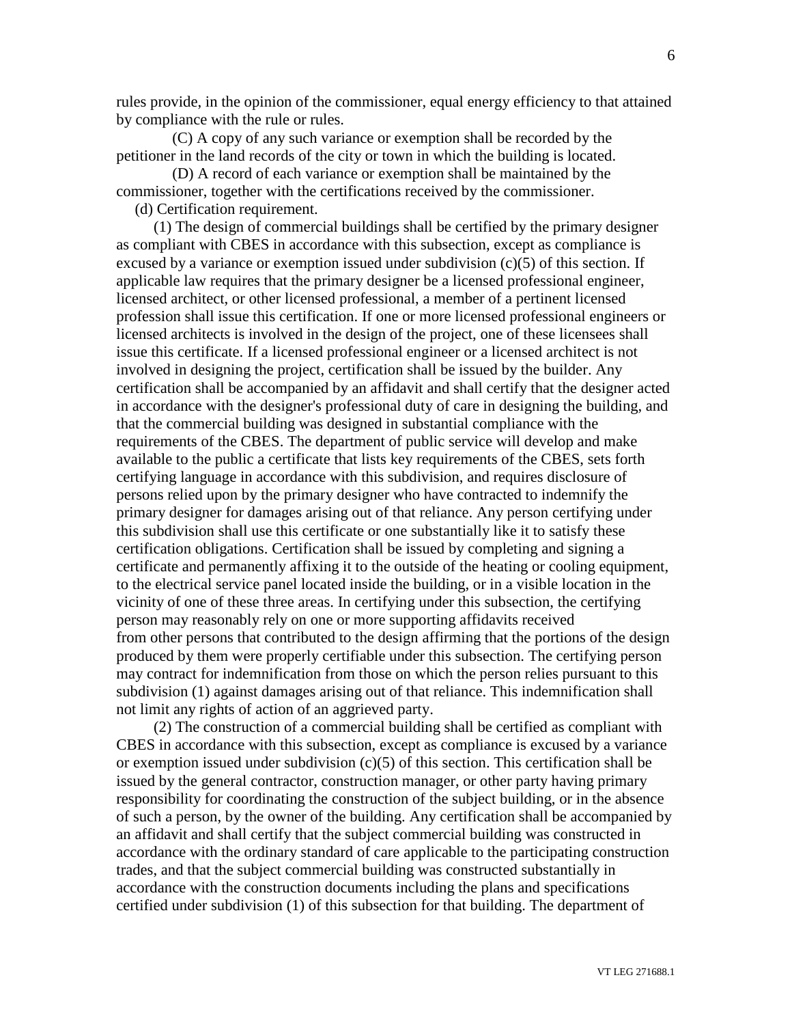rules provide, in the opinion of the commissioner, equal energy efficiency to that attained by compliance with the rule or rules.

(C) A copy of any such variance or exemption shall be recorded by the petitioner in the land records of the city or town in which the building is located.

(D) A record of each variance or exemption shall be maintained by the commissioner, together with the certifications received by the commissioner.

(d) Certification requirement.

(1) The design of commercial buildings shall be certified by the primary designer as compliant with CBES in accordance with this subsection, except as compliance is excused by a variance or exemption issued under subdivision  $(c)(5)$  of this section. If applicable law requires that the primary designer be a licensed professional engineer, licensed architect, or other licensed professional, a member of a pertinent licensed profession shall issue this certification. If one or more licensed professional engineers or licensed architects is involved in the design of the project, one of these licensees shall issue this certificate. If a licensed professional engineer or a licensed architect is not involved in designing the project, certification shall be issued by the builder. Any certification shall be accompanied by an affidavit and shall certify that the designer acted in accordance with the designer's professional duty of care in designing the building, and that the commercial building was designed in substantial compliance with the requirements of the CBES. The department of public service will develop and make available to the public a certificate that lists key requirements of the CBES, sets forth certifying language in accordance with this subdivision, and requires disclosure of persons relied upon by the primary designer who have contracted to indemnify the primary designer for damages arising out of that reliance. Any person certifying under this subdivision shall use this certificate or one substantially like it to satisfy these certification obligations. Certification shall be issued by completing and signing a certificate and permanently affixing it to the outside of the heating or cooling equipment, to the electrical service panel located inside the building, or in a visible location in the vicinity of one of these three areas. In certifying under this subsection, the certifying person may reasonably rely on one or more supporting affidavits received from other persons that contributed to the design affirming that the portions of the design produced by them were properly certifiable under this subsection. The certifying person may contract for indemnification from those on which the person relies pursuant to this subdivision (1) against damages arising out of that reliance. This indemnification shall not limit any rights of action of an aggrieved party.

(2) The construction of a commercial building shall be certified as compliant with CBES in accordance with this subsection, except as compliance is excused by a variance or exemption issued under subdivision  $(c)(5)$  of this section. This certification shall be issued by the general contractor, construction manager, or other party having primary responsibility for coordinating the construction of the subject building, or in the absence of such a person, by the owner of the building. Any certification shall be accompanied by an affidavit and shall certify that the subject commercial building was constructed in accordance with the ordinary standard of care applicable to the participating construction trades, and that the subject commercial building was constructed substantially in accordance with the construction documents including the plans and specifications certified under subdivision (1) of this subsection for that building. The department of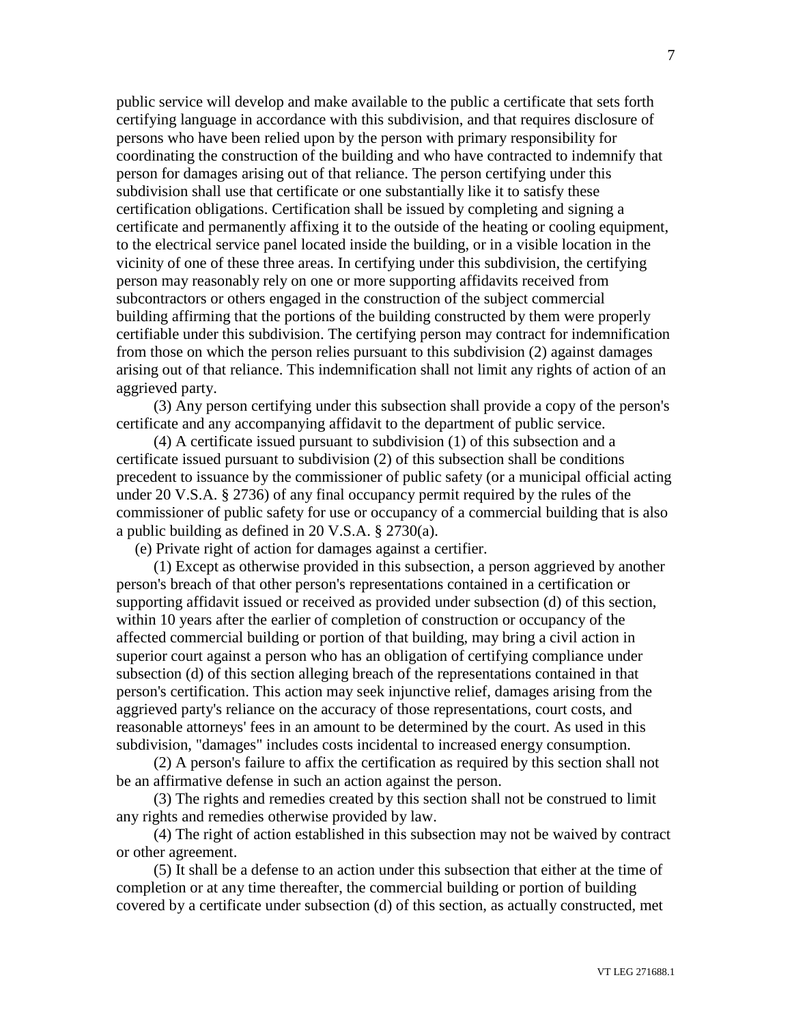public service will develop and make available to the public a certificate that sets forth certifying language in accordance with this subdivision, and that requires disclosure of persons who have been relied upon by the person with primary responsibility for coordinating the construction of the building and who have contracted to indemnify that person for damages arising out of that reliance. The person certifying under this subdivision shall use that certificate or one substantially like it to satisfy these certification obligations. Certification shall be issued by completing and signing a certificate and permanently affixing it to the outside of the heating or cooling equipment, to the electrical service panel located inside the building, or in a visible location in the vicinity of one of these three areas. In certifying under this subdivision, the certifying person may reasonably rely on one or more supporting affidavits received from subcontractors or others engaged in the construction of the subject commercial building affirming that the portions of the building constructed by them were properly certifiable under this subdivision. The certifying person may contract for indemnification from those on which the person relies pursuant to this subdivision (2) against damages arising out of that reliance. This indemnification shall not limit any rights of action of an aggrieved party.

(3) Any person certifying under this subsection shall provide a copy of the person's certificate and any accompanying affidavit to the department of public service.

(4) A certificate issued pursuant to subdivision (1) of this subsection and a certificate issued pursuant to subdivision (2) of this subsection shall be conditions precedent to issuance by the commissioner of public safety (or a municipal official acting under 20 V.S.A. § 2736) of any final occupancy permit required by the rules of the commissioner of public safety for use or occupancy of a commercial building that is also a public building as defined in 20 V.S.A. § 2730(a).

(e) Private right of action for damages against a certifier.

(1) Except as otherwise provided in this subsection, a person aggrieved by another person's breach of that other person's representations contained in a certification or supporting affidavit issued or received as provided under subsection (d) of this section, within 10 years after the earlier of completion of construction or occupancy of the affected commercial building or portion of that building, may bring a civil action in superior court against a person who has an obligation of certifying compliance under subsection (d) of this section alleging breach of the representations contained in that person's certification. This action may seek injunctive relief, damages arising from the aggrieved party's reliance on the accuracy of those representations, court costs, and reasonable attorneys' fees in an amount to be determined by the court. As used in this subdivision, "damages" includes costs incidental to increased energy consumption.

(2) A person's failure to affix the certification as required by this section shall not be an affirmative defense in such an action against the person.

(3) The rights and remedies created by this section shall not be construed to limit any rights and remedies otherwise provided by law.

(4) The right of action established in this subsection may not be waived by contract or other agreement.

(5) It shall be a defense to an action under this subsection that either at the time of completion or at any time thereafter, the commercial building or portion of building covered by a certificate under subsection (d) of this section, as actually constructed, met